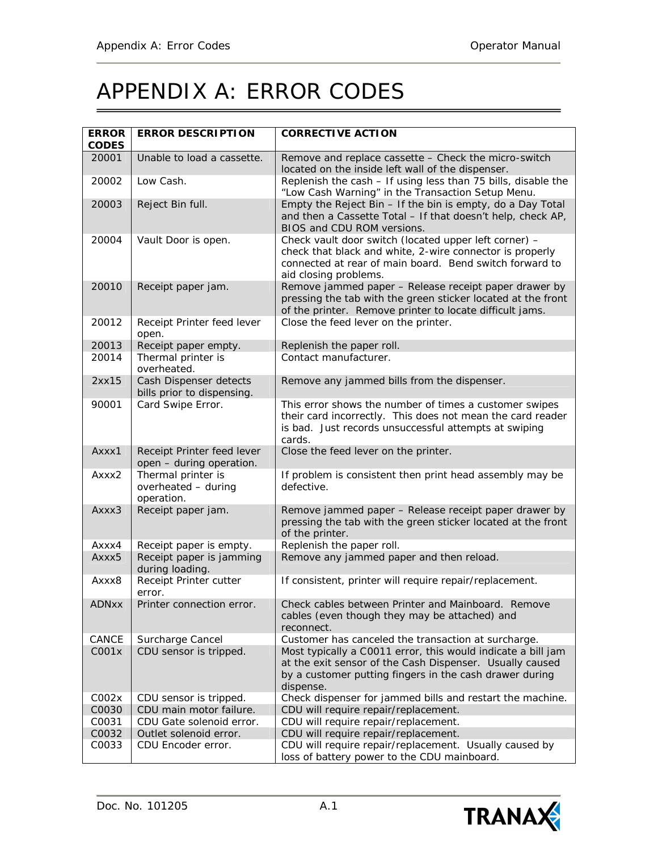$\overline{\phantom{0}}$ 

## APPENDIX A: ERROR CODES

| <b>ERROR</b><br><b>CODES</b> | <b>ERROR DESCRIPTION</b>                                | <b>CORRECTIVE ACTION</b>                                                                                                                                                                                                                                |
|------------------------------|---------------------------------------------------------|---------------------------------------------------------------------------------------------------------------------------------------------------------------------------------------------------------------------------------------------------------|
| 20001                        | Unable to load a cassette.                              | Remove and replace cassette - Check the micro-switch<br>located on the inside left wall of the dispenser.                                                                                                                                               |
| 20002                        | Low Cash.                                               | Replenish the cash - If using less than 75 bills, disable the<br>"Low Cash Warning" in the Transaction Setup Menu.                                                                                                                                      |
| 20003                        | Reject Bin full.                                        | Empty the Reject Bin - If the bin is empty, do a Day Total<br>and then a Cassette Total - If that doesn't help, check AP,<br>BIOS and CDU ROM versions.                                                                                                 |
| 20004                        | Vault Door is open.                                     | Check vault door switch (located upper left corner) -<br>check that black and white, 2-wire connector is properly<br>connected at rear of main board. Bend switch forward to<br>aid closing problems.                                                   |
| 20010                        | Receipt paper jam.                                      | Remove jammed paper - Release receipt paper drawer by<br>pressing the tab with the green sticker located at the front<br>of the printer. Remove printer to locate difficult jams.                                                                       |
| 20012                        | Receipt Printer feed lever<br>open.                     | Close the feed lever on the printer.                                                                                                                                                                                                                    |
| 20013                        | Receipt paper empty.                                    | Replenish the paper roll.                                                                                                                                                                                                                               |
| 20014                        | Thermal printer is<br>overheated.                       | Contact manufacturer.                                                                                                                                                                                                                                   |
| 2xx15                        | Cash Dispenser detects<br>bills prior to dispensing.    | Remove any jammed bills from the dispenser.                                                                                                                                                                                                             |
| 90001                        | Card Swipe Error.                                       | This error shows the number of times a customer swipes<br>their card incorrectly. This does not mean the card reader<br>is bad. Just records unsuccessful attempts at swiping<br>cards.                                                                 |
| Axxx1                        | Receipt Printer feed lever<br>open - during operation.  | Close the feed lever on the printer.                                                                                                                                                                                                                    |
| Axxx2                        | Thermal printer is<br>overheated - during<br>operation. | If problem is consistent then print head assembly may be<br>defective.                                                                                                                                                                                  |
| Axxx3                        | Receipt paper jam.                                      | Remove jammed paper - Release receipt paper drawer by<br>pressing the tab with the green sticker located at the front<br>of the printer.                                                                                                                |
| Axxx4                        | Receipt paper is empty.                                 | Replenish the paper roll.                                                                                                                                                                                                                               |
| Axxx5                        | Receipt paper is jamming<br>during loading.             | Remove any jammed paper and then reload.                                                                                                                                                                                                                |
| Axxx8                        | Receipt Printer cutter<br>error.                        | If consistent, printer will require repair/replacement.                                                                                                                                                                                                 |
| ADNxx                        | Printer connection error.                               | Check cables between Printer and Mainboard. Remove<br>cables (even though they may be attached) and<br>reconnect.                                                                                                                                       |
| CANCE<br>COO1x               | Surcharge Cancel<br>CDU sensor is tripped.              | Customer has canceled the transaction at surcharge.<br>Most typically a C0011 error, this would indicate a bill jam<br>at the exit sensor of the Cash Dispenser. Usually caused<br>by a customer putting fingers in the cash drawer during<br>dispense. |
| COO2x                        | CDU sensor is tripped.                                  | Check dispenser for jammed bills and restart the machine.                                                                                                                                                                                               |
| C0030                        | CDU main motor failure.                                 | CDU will require repair/replacement.                                                                                                                                                                                                                    |
| C0031                        | CDU Gate solenoid error.                                | CDU will require repair/replacement.                                                                                                                                                                                                                    |
| C0032                        | Outlet solenoid error.                                  | CDU will require repair/replacement.                                                                                                                                                                                                                    |
| C0033                        | CDU Encoder error.                                      | CDU will require repair/replacement. Usually caused by<br>loss of battery power to the CDU mainboard.                                                                                                                                                   |

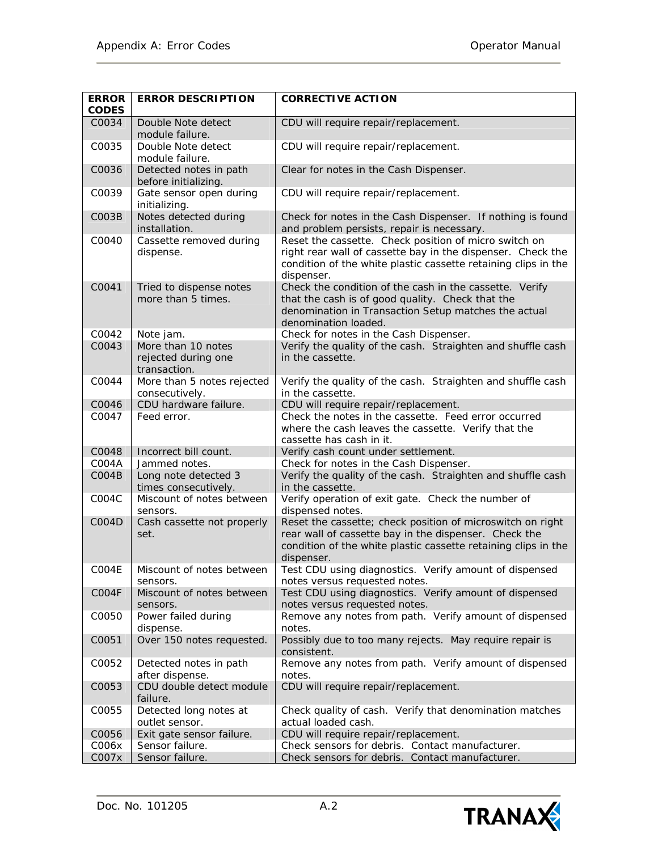| <b>ERROR</b><br><b>CODES</b> | <b>ERROR DESCRIPTION</b>                                  | <b>CORRECTIVE ACTION</b>                                                                                                                                                                             |
|------------------------------|-----------------------------------------------------------|------------------------------------------------------------------------------------------------------------------------------------------------------------------------------------------------------|
| C0034                        | Double Note detect<br>module failure.                     | CDU will require repair/replacement.                                                                                                                                                                 |
| C0035                        | Double Note detect<br>module failure.                     | CDU will require repair/replacement.                                                                                                                                                                 |
| C0036                        | Detected notes in path<br>before initializing.            | Clear for notes in the Cash Dispenser.                                                                                                                                                               |
| C0039                        | Gate sensor open during<br>initializing.                  | CDU will require repair/replacement.                                                                                                                                                                 |
| C003B                        | Notes detected during<br>installation.                    | Check for notes in the Cash Dispenser. If nothing is found<br>and problem persists, repair is necessary.                                                                                             |
| C0040                        | Cassette removed during<br>dispense.                      | Reset the cassette. Check position of micro switch on<br>right rear wall of cassette bay in the dispenser. Check the<br>condition of the white plastic cassette retaining clips in the<br>dispenser. |
| C0041                        | Tried to dispense notes<br>more than 5 times.             | Check the condition of the cash in the cassette. Verify<br>that the cash is of good quality. Check that the<br>denomination in Transaction Setup matches the actual<br>denomination loaded.          |
| C0042                        | Note jam.                                                 | Check for notes in the Cash Dispenser.                                                                                                                                                               |
| C0043                        | More than 10 notes<br>rejected during one<br>transaction. | Verify the quality of the cash. Straighten and shuffle cash<br>in the cassette.                                                                                                                      |
| C0044                        | More than 5 notes rejected<br>consecutively.              | Verify the quality of the cash. Straighten and shuffle cash<br>in the cassette.                                                                                                                      |
| C0046                        | CDU hardware failure.                                     | CDU will require repair/replacement.                                                                                                                                                                 |
| C0047                        | Feed error.                                               | Check the notes in the cassette. Feed error occurred<br>where the cash leaves the cassette. Verify that the<br>cassette has cash in it.                                                              |
| C0048                        | Incorrect bill count.                                     | Verify cash count under settlement.                                                                                                                                                                  |
| C004A                        | Jammed notes.                                             | Check for notes in the Cash Dispenser.                                                                                                                                                               |
| C004B                        | Long note detected 3<br>times consecutively.              | Verify the quality of the cash. Straighten and shuffle cash<br>in the cassette.                                                                                                                      |
| C004C                        | Miscount of notes between<br>sensors.                     | Verify operation of exit gate. Check the number of<br>dispensed notes.                                                                                                                               |
| C004D                        | Cash cassette not properly<br>set.                        | Reset the cassette; check position of microswitch on right<br>rear wall of cassette bay in the dispenser. Check the<br>condition of the white plastic cassette retaining clips in the<br>dispenser.  |
| COO4E                        | Miscount of notes between<br>sensors.                     | Test CDU using diagnostics. Verify amount of dispensed<br>notes versus requested notes.                                                                                                              |
| COO4F                        | Miscount of notes between<br>sensors.                     | Test CDU using diagnostics. Verify amount of dispensed<br>notes versus requested notes.                                                                                                              |
| C0050                        | Power failed during<br>dispense.                          | Remove any notes from path. Verify amount of dispensed<br>notes.                                                                                                                                     |
| C0051                        | Over 150 notes requested.                                 | Possibly due to too many rejects. May require repair is<br>consistent.                                                                                                                               |
| C0052                        | Detected notes in path<br>after dispense.                 | Remove any notes from path. Verify amount of dispensed<br>notes.                                                                                                                                     |
| C0053                        | CDU double detect module<br>failure.                      | CDU will require repair/replacement.                                                                                                                                                                 |
| C0055                        | Detected long notes at<br>outlet sensor.                  | Check quality of cash. Verify that denomination matches<br>actual loaded cash.                                                                                                                       |
| C0056                        | Exit gate sensor failure.                                 | CDU will require repair/replacement.                                                                                                                                                                 |
| C006x                        | Sensor failure.                                           | Check sensors for debris. Contact manufacturer.                                                                                                                                                      |
| C007x                        | Sensor failure.                                           | Check sensors for debris. Contact manufacturer.                                                                                                                                                      |

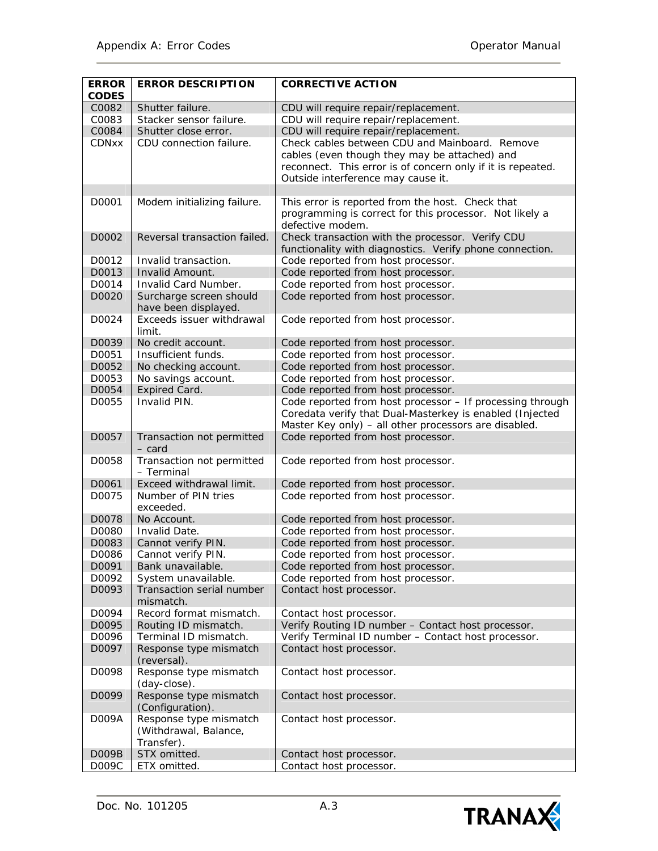| <b>ERROR</b><br><b>CODES</b> | <b>ERROR DESCRIPTION</b>                                      | <b>CORRECTIVE ACTION</b>                                                                                                                                                                             |
|------------------------------|---------------------------------------------------------------|------------------------------------------------------------------------------------------------------------------------------------------------------------------------------------------------------|
| C0082                        | Shutter failure.                                              | CDU will require repair/replacement.                                                                                                                                                                 |
| C0083                        | Stacker sensor failure.                                       | CDU will require repair/replacement.                                                                                                                                                                 |
| C0084                        | Shutter close error.                                          | CDU will require repair/replacement.                                                                                                                                                                 |
| <b>CDNxx</b>                 | CDU connection failure.                                       | Check cables between CDU and Mainboard. Remove<br>cables (even though they may be attached) and<br>reconnect. This error is of concern only if it is repeated.<br>Outside interference may cause it. |
| D0001                        |                                                               | This error is reported from the host. Check that                                                                                                                                                     |
|                              | Modem initializing failure.                                   | programming is correct for this processor. Not likely a<br>defective modem.                                                                                                                          |
| D0002                        | Reversal transaction failed.                                  | Check transaction with the processor. Verify CDU<br>functionality with diagnostics. Verify phone connection.                                                                                         |
| D0012                        | Invalid transaction.                                          | Code reported from host processor.                                                                                                                                                                   |
| D0013                        | Invalid Amount.                                               | Code reported from host processor.                                                                                                                                                                   |
| D0014                        | Invalid Card Number.                                          | Code reported from host processor.                                                                                                                                                                   |
| D0020                        | Surcharge screen should<br>have been displayed.               | Code reported from host processor.                                                                                                                                                                   |
| D0024                        | Exceeds issuer withdrawal<br>limit.                           | Code reported from host processor.                                                                                                                                                                   |
| D0039                        | No credit account.                                            | Code reported from host processor.                                                                                                                                                                   |
| D0051                        | Insufficient funds.                                           | Code reported from host processor.                                                                                                                                                                   |
| D0052                        | No checking account.                                          | Code reported from host processor.                                                                                                                                                                   |
| D0053                        | No savings account.                                           | Code reported from host processor.                                                                                                                                                                   |
| D0054                        | Expired Card.                                                 | Code reported from host processor.                                                                                                                                                                   |
| D0055                        | Invalid PIN.                                                  | Code reported from host processor - If processing through<br>Coredata verify that Dual-Masterkey is enabled (Injected<br>Master Key only) - all other processors are disabled.                       |
| D0057                        | Transaction not permitted<br>- card                           | Code reported from host processor.                                                                                                                                                                   |
| D0058                        | Transaction not permitted<br>- Terminal                       | Code reported from host processor.                                                                                                                                                                   |
| D0061                        | Exceed withdrawal limit.                                      | Code reported from host processor.                                                                                                                                                                   |
| D0075                        | Number of PIN tries<br>exceeded.                              | Code reported from host processor.                                                                                                                                                                   |
| D0078                        | No Account.                                                   | Code reported from host processor.                                                                                                                                                                   |
| D0080                        | Invalid Date.                                                 | Code reported from host processor.                                                                                                                                                                   |
| D0083                        | Cannot verify PIN.                                            | Code reported from host processor.                                                                                                                                                                   |
| D0086                        | Cannot verify PIN.                                            | Code reported from host processor.                                                                                                                                                                   |
| D0091                        | Bank unavailable.                                             | Code reported from host processor.                                                                                                                                                                   |
| D0092<br>D0093               | System unavailable.<br>Transaction serial number<br>mismatch. | Code reported from host processor.<br>Contact host processor.                                                                                                                                        |
| D0094                        | Record format mismatch.                                       | Contact host processor.                                                                                                                                                                              |
| D0095                        | Routing ID mismatch.                                          | Verify Routing ID number - Contact host processor.                                                                                                                                                   |
| D0096                        | Terminal ID mismatch.                                         | Verify Terminal ID number - Contact host processor.                                                                                                                                                  |
| D0097                        | Response type mismatch<br>(reversal).                         | Contact host processor.                                                                                                                                                                              |
| D0098                        | Response type mismatch<br>(day-close).                        | Contact host processor.                                                                                                                                                                              |
| D0099                        | Response type mismatch<br>(Configuration).                    | Contact host processor.                                                                                                                                                                              |
| D009A                        | Response type mismatch<br>(Withdrawal, Balance,<br>Transfer). | Contact host processor.                                                                                                                                                                              |
| D009B                        | STX omitted.                                                  | Contact host processor.                                                                                                                                                                              |
| D009C                        | ETX omitted.                                                  | Contact host processor.                                                                                                                                                                              |

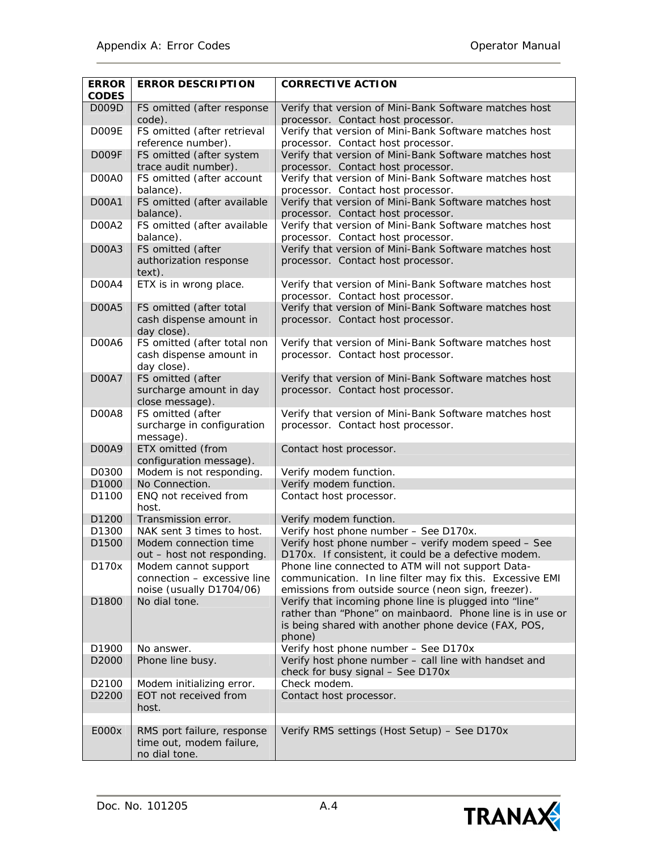| <b>ERROR</b><br><b>CODES</b> | <b>ERROR DESCRIPTION</b>                                                | <b>CORRECTIVE ACTION</b>                                                                                                                                                              |
|------------------------------|-------------------------------------------------------------------------|---------------------------------------------------------------------------------------------------------------------------------------------------------------------------------------|
| D009D                        | FS omitted (after response                                              | Verify that version of Mini-Bank Software matches host                                                                                                                                |
|                              | code).                                                                  | processor. Contact host processor.                                                                                                                                                    |
| D009E                        | FS omitted (after retrieval<br>reference number).                       | Verify that version of Mini-Bank Software matches host<br>processor. Contact host processor.                                                                                          |
| <b>DOO9F</b>                 | FS omitted (after system                                                | Verify that version of Mini-Bank Software matches host                                                                                                                                |
|                              | trace audit number).                                                    | processor. Contact host processor.                                                                                                                                                    |
| D00A0                        | FS omitted (after account                                               | Verify that version of Mini-Bank Software matches host                                                                                                                                |
|                              | balance).                                                               | processor. Contact host processor.                                                                                                                                                    |
| DOOA1                        | FS omitted (after available                                             | Verify that version of Mini-Bank Software matches host                                                                                                                                |
| DOOA2                        | balance).<br>FS omitted (after available                                | processor. Contact host processor.<br>Verify that version of Mini-Bank Software matches host                                                                                          |
|                              | balance).                                                               | processor. Contact host processor.                                                                                                                                                    |
| DOOA3                        | FS omitted (after<br>authorization response<br>text).                   | Verify that version of Mini-Bank Software matches host<br>processor. Contact host processor.                                                                                          |
| DOOA4                        | ETX is in wrong place.                                                  | Verify that version of Mini-Bank Software matches host<br>processor. Contact host processor.                                                                                          |
| <b>DOOA5</b>                 | FS omitted (after total<br>cash dispense amount in                      | Verify that version of Mini-Bank Software matches host<br>processor. Contact host processor.                                                                                          |
| DOOA6                        | day close).<br>FS omitted (after total non                              | Verify that version of Mini-Bank Software matches host                                                                                                                                |
|                              | cash dispense amount in<br>day close).                                  | processor. Contact host processor.                                                                                                                                                    |
| DOOA7                        | FS omitted (after<br>surcharge amount in day<br>close message).         | Verify that version of Mini-Bank Software matches host<br>processor. Contact host processor.                                                                                          |
| DOOA8                        | FS omitted (after                                                       | Verify that version of Mini-Bank Software matches host                                                                                                                                |
|                              | surcharge in configuration<br>message).                                 | processor. Contact host processor.                                                                                                                                                    |
| D00A9                        | ETX omitted (from<br>configuration message).                            | Contact host processor.                                                                                                                                                               |
| D0300                        | Modem is not responding.                                                | Verify modem function.                                                                                                                                                                |
| D1000                        | No Connection.                                                          | Verify modem function.                                                                                                                                                                |
| D1100                        | ENQ not received from<br>host.                                          | Contact host processor.                                                                                                                                                               |
| D1200                        | Transmission error.                                                     | Verify modem function.                                                                                                                                                                |
| D1300                        | NAK sent 3 times to host.                                               | Verify host phone number - See D170x.                                                                                                                                                 |
| D1500                        | Modem connection time<br>out - host not responding.                     | Verify host phone number - verify modem speed - See<br>D170x. If consistent, it could be a defective modem.                                                                           |
| D170x                        | Modem cannot support<br>connection - excessive line                     | Phone line connected to ATM will not support Data-<br>communication. In line filter may fix this. Excessive EMI                                                                       |
|                              | noise (usually D1704/06)                                                | emissions from outside source (neon sign, freezer).                                                                                                                                   |
| D1800                        | No dial tone.                                                           | Verify that incoming phone line is plugged into "line"<br>rather than "Phone" on mainbaord. Phone line is in use or<br>is being shared with another phone device (FAX, POS,<br>phone) |
| D <sub>1900</sub>            | No answer.                                                              | Verify host phone number - See D170x                                                                                                                                                  |
| D2000                        | Phone line busy.                                                        | Verify host phone number - call line with handset and<br>check for busy signal - See D170x                                                                                            |
| D2100                        | Modem initializing error.                                               | Check modem.                                                                                                                                                                          |
| D2200                        | EOT not received from<br>host.                                          | Contact host processor.                                                                                                                                                               |
|                              |                                                                         |                                                                                                                                                                                       |
| E000x                        | RMS port failure, response<br>time out, modem failure,<br>no dial tone. | Verify RMS settings (Host Setup) - See D170x                                                                                                                                          |